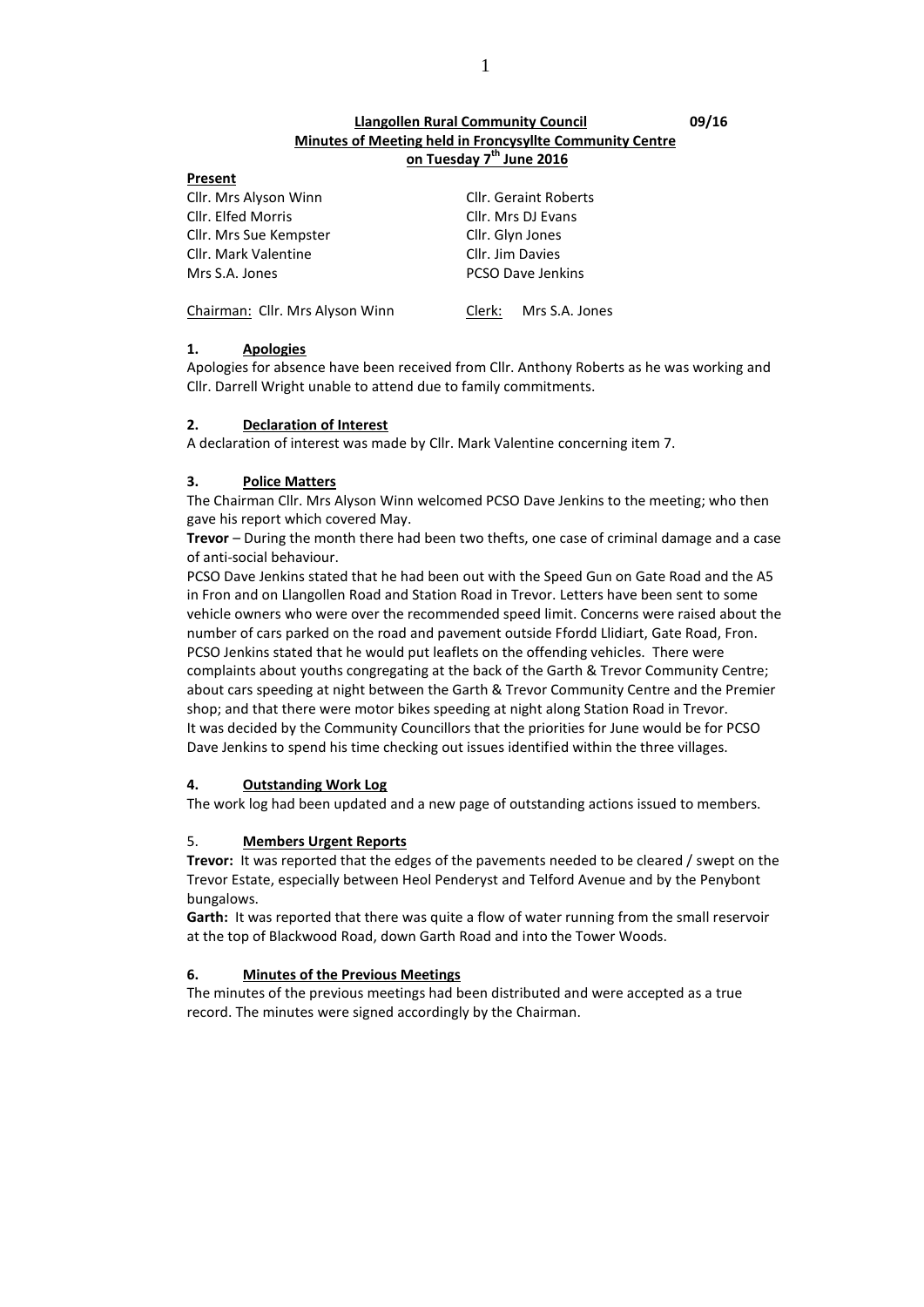## **Llangollen Rural Community Council 09/16 Minutes of Meeting held in Froncysyllte Community Centre on Tuesday 7 th June 2016**

| Present                         |                              |  |
|---------------------------------|------------------------------|--|
| Cllr. Mrs Alyson Winn           | <b>Cllr. Geraint Roberts</b> |  |
| Cllr. Elfed Morris              | Cllr. Mrs DJ Evans           |  |
| Cllr. Mrs Sue Kempster          | Cllr. Glyn Jones             |  |
| Cllr. Mark Valentine            | Cllr. Jim Davies             |  |
| Mrs S.A. Jones                  | <b>PCSO Dave Jenkins</b>     |  |
| Chairman: Cllr. Mrs Alyson Winn | Clerk: Mrs S.A. Jones        |  |

**1. Apologies**

Apologies for absence have been received from Cllr. Anthony Roberts as he was working and Cllr. Darrell Wright unable to attend due to family commitments.

#### **2. Declaration of Interest**

A declaration of interest was made by Cllr. Mark Valentine concerning item 7.

#### **3. Police Matters**

The Chairman Cllr. Mrs Alyson Winn welcomed PCSO Dave Jenkins to the meeting; who then gave his report which covered May.

**Trevor** – During the month there had been two thefts, one case of criminal damage and a case of anti-social behaviour.

PCSO Dave Jenkins stated that he had been out with the Speed Gun on Gate Road and the A5 in Fron and on Llangollen Road and Station Road in Trevor. Letters have been sent to some vehicle owners who were over the recommended speed limit. Concerns were raised about the number of cars parked on the road and pavement outside Ffordd Llidiart, Gate Road, Fron. PCSO Jenkins stated that he would put leaflets on the offending vehicles. There were complaints about youths congregating at the back of the Garth & Trevor Community Centre; about cars speeding at night between the Garth & Trevor Community Centre and the Premier shop; and that there were motor bikes speeding at night along Station Road in Trevor. It was decided by the Community Councillors that the priorities for June would be for PCSO Dave Jenkins to spend his time checking out issues identified within the three villages.

## **4. Outstanding Work Log**

The work log had been updated and a new page of outstanding actions issued to members.

#### 5. **Members Urgent Reports**

**Trevor:** It was reported that the edges of the pavements needed to be cleared / swept on the Trevor Estate, especially between Heol Penderyst and Telford Avenue and by the Penybont bungalows.

**Garth:** It was reported that there was quite a flow of water running from the small reservoir at the top of Blackwood Road, down Garth Road and into the Tower Woods.

#### **6. Minutes of the Previous Meetings**

The minutes of the previous meetings had been distributed and were accepted as a true record. The minutes were signed accordingly by the Chairman.

1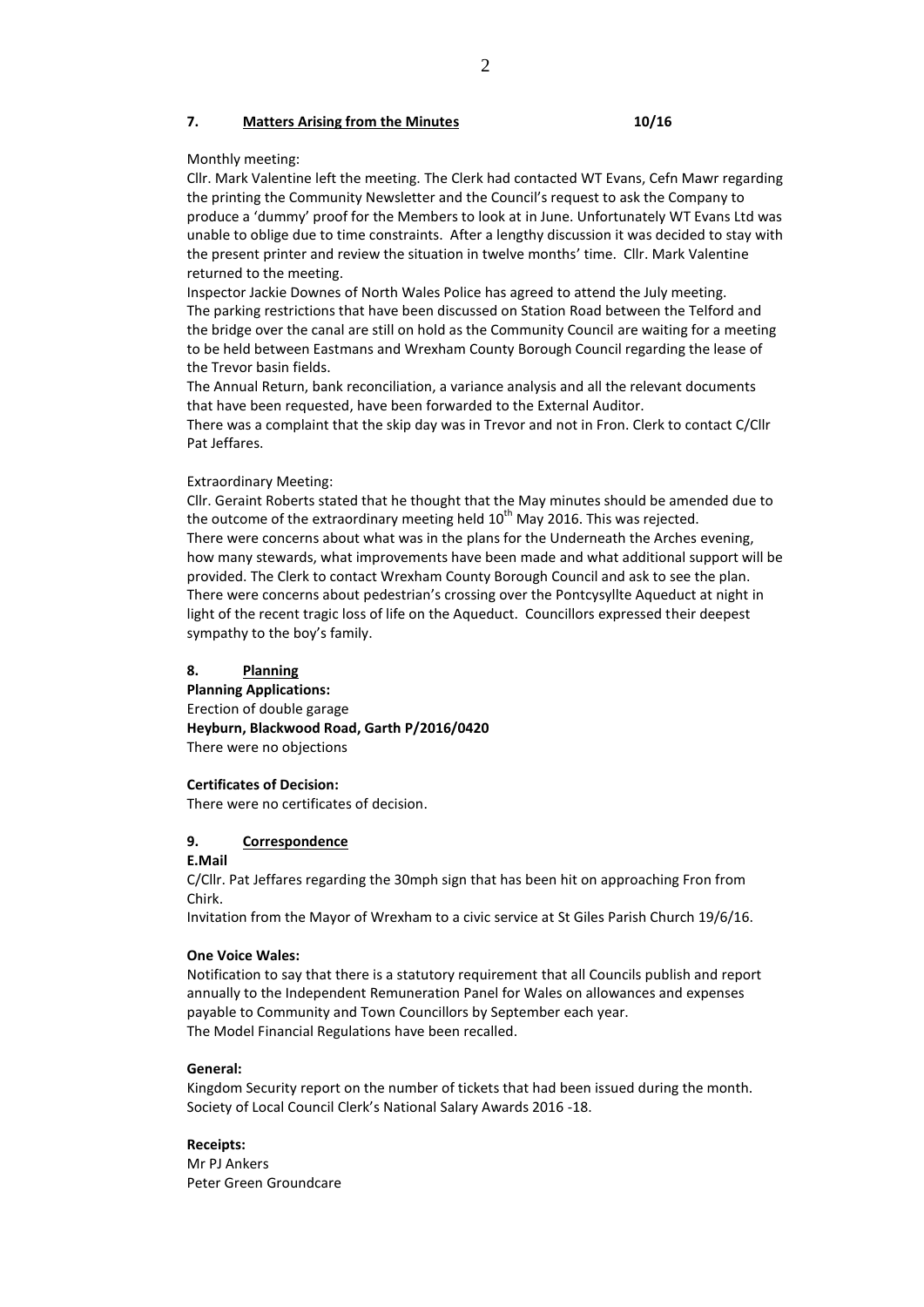#### **7. Matters Arising from the Minutes 10/16**

#### Monthly meeting:

Cllr. Mark Valentine left the meeting. The Clerk had contacted WT Evans, Cefn Mawr regarding the printing the Community Newsletter and the Council's request to ask the Company to produce a 'dummy' proof for the Members to look at in June. Unfortunately WT Evans Ltd was unable to oblige due to time constraints. After a lengthy discussion it was decided to stay with the present printer and review the situation in twelve months' time. Cllr. Mark Valentine returned to the meeting.

Inspector Jackie Downes of North Wales Police has agreed to attend the July meeting. The parking restrictions that have been discussed on Station Road between the Telford and the bridge over the canal are still on hold as the Community Council are waiting for a meeting to be held between Eastmans and Wrexham County Borough Council regarding the lease of the Trevor basin fields.

The Annual Return, bank reconciliation, a variance analysis and all the relevant documents that have been requested, have been forwarded to the External Auditor. There was a complaint that the skip day was in Trevor and not in Fron. Clerk to contact C/Cllr Pat Jeffares.

#### Extraordinary Meeting:

Cllr. Geraint Roberts stated that he thought that the May minutes should be amended due to the outcome of the extraordinary meeting held  $10<sup>th</sup>$  May 2016. This was rejected. There were concerns about what was in the plans for the Underneath the Arches evening, how many stewards, what improvements have been made and what additional support will be provided. The Clerk to contact Wrexham County Borough Council and ask to see the plan. There were concerns about pedestrian's crossing over the Pontcysyllte Aqueduct at night in light of the recent tragic loss of life on the Aqueduct. Councillors expressed their deepest sympathy to the boy's family.

#### **8. Planning**

**Planning Applications:** Erection of double garage **Heyburn, Blackwood Road, Garth P/2016/0420** There were no objections

#### **Certificates of Decision:**

There were no certificates of decision.

## **9. Correspondence**

**E.Mail**

C/Cllr. Pat Jeffares regarding the 30mph sign that has been hit on approaching Fron from Chirk.

Invitation from the Mayor of Wrexham to a civic service at St Giles Parish Church 19/6/16.

#### **One Voice Wales:**

Notification to say that there is a statutory requirement that all Councils publish and report annually to the Independent Remuneration Panel for Wales on allowances and expenses payable to Community and Town Councillors by September each year. The Model Financial Regulations have been recalled.

#### **General:**

Kingdom Security report on the number of tickets that had been issued during the month. Society of Local Council Clerk's National Salary Awards 2016 -18.

**Receipts:** Mr PJ Ankers Peter Green Groundcare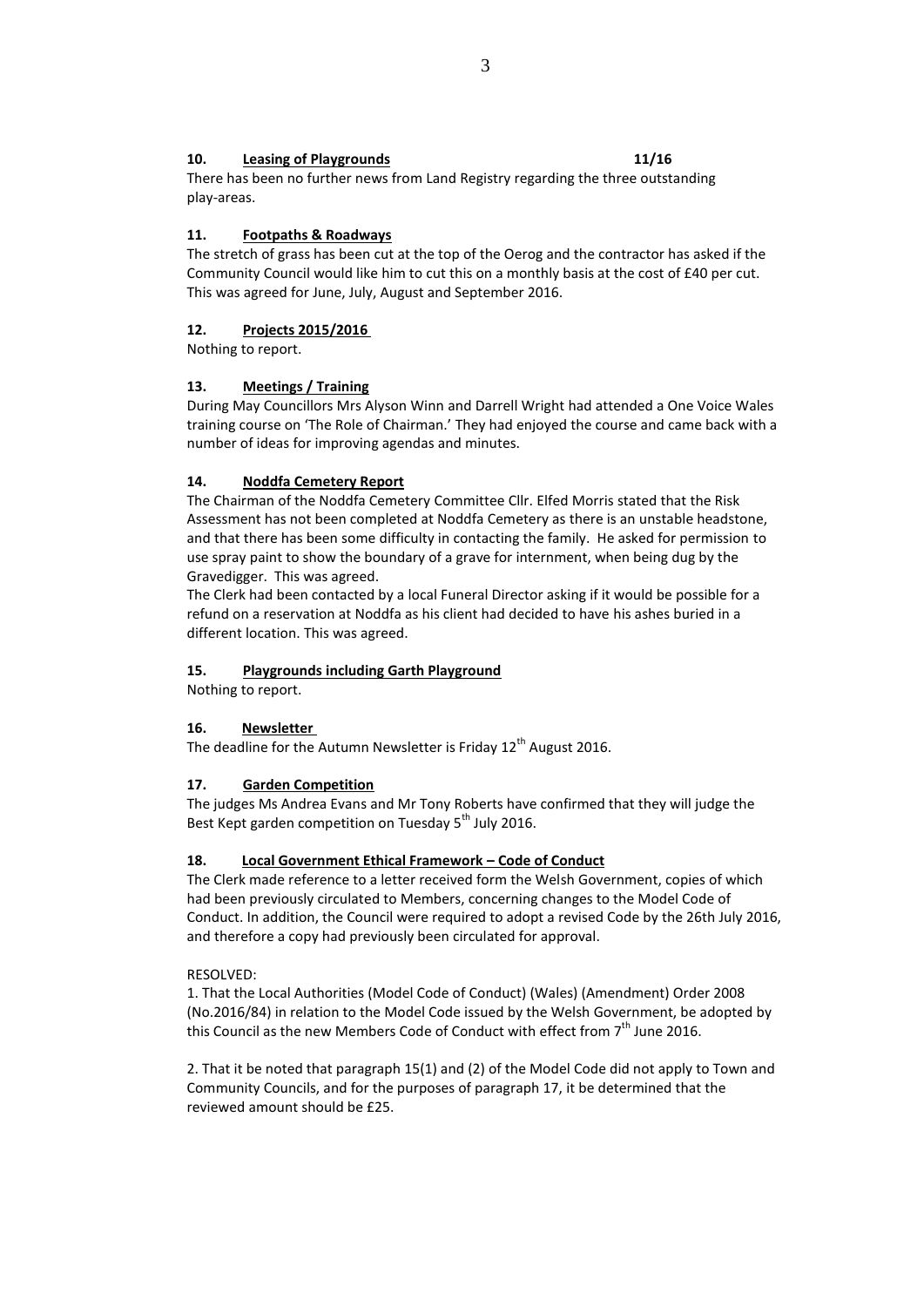## **10. Leasing of Playgrounds 11/16**

There has been no further news from Land Registry regarding the three outstanding play-areas.

## **11. Footpaths & Roadways**

The stretch of grass has been cut at the top of the Oerog and the contractor has asked if the Community Council would like him to cut this on a monthly basis at the cost of £40 per cut. This was agreed for June, July, August and September 2016.

## **12. Projects 2015/2016**

Nothing to report.

## **13. Meetings / Training**

During May Councillors Mrs Alyson Winn and Darrell Wright had attended a One Voice Wales training course on 'The Role of Chairman.' They had enjoyed the course and came back with a number of ideas for improving agendas and minutes.

## **14. Noddfa Cemetery Report**

The Chairman of the Noddfa Cemetery Committee Cllr. Elfed Morris stated that the Risk Assessment has not been completed at Noddfa Cemetery as there is an unstable headstone, and that there has been some difficulty in contacting the family. He asked for permission to use spray paint to show the boundary of a grave for internment, when being dug by the Gravedigger. This was agreed.

The Clerk had been contacted by a local Funeral Director asking if it would be possible for a refund on a reservation at Noddfa as his client had decided to have his ashes buried in a different location. This was agreed.

## **15. Playgrounds including Garth Playground**

Nothing to report.

## **16. Newsletter**

The deadline for the Autumn Newsletter is Friday  $12<sup>th</sup>$  August 2016.

## **17. Garden Competition**

The judges Ms Andrea Evans and Mr Tony Roberts have confirmed that they will judge the Best Kept garden competition on Tuesday 5<sup>th</sup> July 2016.

## **18. Local Government Ethical Framework – Code of Conduct**

The Clerk made reference to a letter received form the Welsh Government, copies of which had been previously circulated to Members, concerning changes to the Model Code of Conduct. In addition, the Council were required to adopt a revised Code by the 26th July 2016, and therefore a copy had previously been circulated for approval.

## RESOLVED:

1. That the Local Authorities (Model Code of Conduct) (Wales) (Amendment) Order 2008 (No.2016/84) in relation to the Model Code issued by the Welsh Government, be adopted by this Council as the new Members Code of Conduct with effect from  $7<sup>th</sup>$  June 2016.

2. That it be noted that paragraph 15(1) and (2) of the Model Code did not apply to Town and Community Councils, and for the purposes of paragraph 17, it be determined that the reviewed amount should be £25.